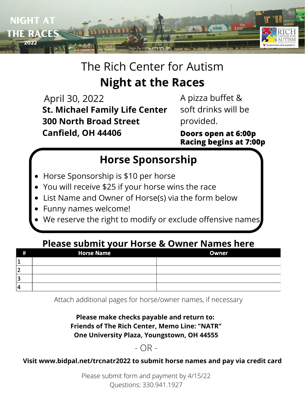

# The Rich Center for Autism **Night at the Races**

April 30, 2022 **St. Michael Family Life Center 300 North Broad Street Canfield, OH 44406 Doors open at 6:00p**

A pizza buffet & soft drinks will be provided.

**Racing begins at 7:00p**

## **Horse Sponsorship**

- Horse Sponsorship is \$10 per horse
- You will receive \$25 if your horse wins the race
- List Name and Owner of Horse(s) via the form below
- Funny names welcome!
- We reserve the right to modify or exclude offensive names

### **Please submit your Horse & Owner Names here**

| #              | <b>Horse Name</b> | <b>Owner</b> |
|----------------|-------------------|--------------|
| J.             |                   |              |
| 2              |                   |              |
| 3              |                   |              |
| $\overline{4}$ |                   |              |

Attach additional pages for horse/owner names, if necessary

#### **Please make checks payable and return to: Friends of The Rich Center, Memo Line: "NATR" One University Plaza, Youngstown, OH 44555**

### - OR -

#### **Visit www.bidpal.net/trcnatr2022 to submit horse names and pay via credit card**

Please submit form and payment by 4/15/22 Questions: 330.941.1927